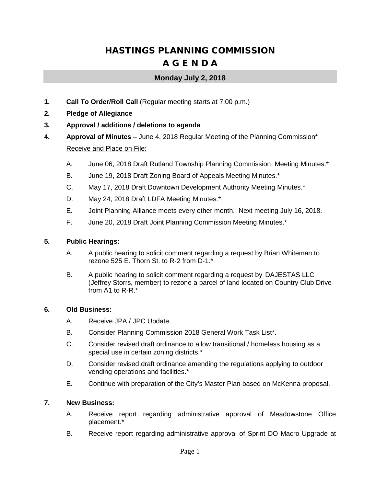# HASTINGS PLANNING COMMISSION A G E N D A

## **Monday July 2, 2018**

- **1. Call To Order/Roll Call** (Regular meeting starts at 7:00 p.m.)
- **2. Pledge of Allegiance**
- **3. Approval / additions / deletions to agenda**
- **4. Approval of Minutes** June 4, 2018 Regular Meeting of the Planning Commission\* Receive and Place on File:
	- A. June 06, 2018 Draft Rutland Township Planning Commission Meeting Minutes.\*
	- B. June 19, 2018 Draft Zoning Board of Appeals Meeting Minutes.\*
	- C. May 17, 2018 Draft Downtown Development Authority Meeting Minutes.\*
	- D. May 24, 2018 Draft LDFA Meeting Minutes.\*
	- E. Joint Planning Alliance meets every other month. Next meeting July 16, 2018.
	- F. June 20, 2018 Draft Joint Planning Commission Meeting Minutes.\*

### **5. Public Hearings:**

- A. A public hearing to solicit comment regarding a request by Brian Whiteman to rezone 525 E. Thorn St. to R-2 from D-1.\*
- B. A public hearing to solicit comment regarding a request by DAJESTAS LLC (Jeffrey Storrs, member) to rezone a parcel of land located on Country Club Drive from A1 to R-R.\*

#### **6. Old Business:**

- A. Receive JPA / JPC Update.
- B. Consider Planning Commission 2018 General Work Task List\*.
- C. Consider revised draft ordinance to allow transitional / homeless housing as a special use in certain zoning districts.\*
- D. Consider revised draft ordinance amending the regulations applying to outdoor vending operations and facilities.\*
- E. Continue with preparation of the City's Master Plan based on McKenna proposal.

#### **7. New Business:**

- A. Receive report regarding administrative approval of Meadowstone Office placement.\*
- B. Receive report regarding administrative approval of Sprint DO Macro Upgrade at